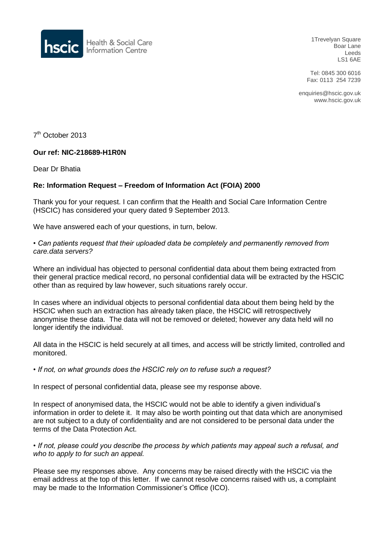

1Trevelyan Square Boar Lane Leeds LS1 6AE

Tel: 0845 300 6016 Fax: 0113 254 7239

enquiries@hscic.gov.uk www.hscic.gov.uk

7<sup>th</sup> October 2013

## **Our ref: NIC-218689-H1R0N**

Dear Dr Bhatia

## **Re: Information Request – Freedom of Information Act (FOIA) 2000**

Thank you for your request. I can confirm that the Health and Social Care Information Centre (HSCIC) has considered your query dated 9 September 2013.

We have answered each of your questions, in turn, below.

## *• Can patients request that their uploaded data be completely and permanently removed from care.data servers?*

Where an individual has objected to personal confidential data about them being extracted from their general practice medical record, no personal confidential data will be extracted by the HSCIC other than as required by law however, such situations rarely occur.

In cases where an individual objects to personal confidential data about them being held by the HSCIC when such an extraction has already taken place, the HSCIC will retrospectively anonymise these data. The data will not be removed or deleted; however any data held will no longer identify the individual.

All data in the HSCIC is held securely at all times, and access will be strictly limited, controlled and monitored.

*• If not, on what grounds does the HSCIC rely on to refuse such a request?*

In respect of personal confidential data, please see my response above.

In respect of anonymised data, the HSCIC would not be able to identify a given individual's information in order to delete it. It may also be worth pointing out that data which are anonymised are not subject to a duty of confidentiality and are not considered to be personal data under the terms of the Data Protection Act.

*• If not, please could you describe the process by which patients may appeal such a refusal, and who to apply to for such an appeal.*

Please see my responses above. Any concerns may be raised directly with the HSCIC via the email address at the top of this letter. If we cannot resolve concerns raised with us, a complaint may be made to the Information Commissioner's Office (ICO).